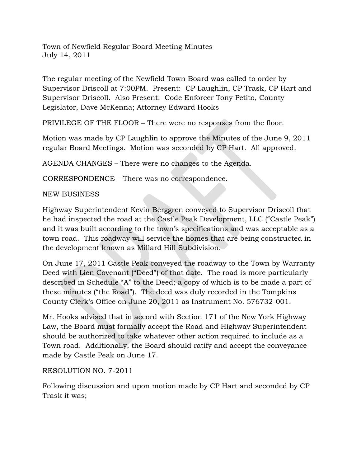Town of Newfield Regular Board Meeting Minutes July 14, 2011

The regular meeting of the Newfield Town Board was called to order by Supervisor Driscoll at 7:00PM. Present: CP Laughlin, CP Trask, CP Hart and Supervisor Driscoll. Also Present: Code Enforcer Tony Petito, County Legislator, Dave McKenna; Attorney Edward Hooks

PRIVILEGE OF THE FLOOR – There were no responses from the floor.

Motion was made by CP Laughlin to approve the Minutes of the June 9, 2011 regular Board Meetings. Motion was seconded by CP Hart. All approved.

AGENDA CHANGES – There were no changes to the Agenda.

CORRESPONDENCE – There was no correspondence.

## NEW BUSINESS

Highway Superintendent Kevin Berggren conveyed to Supervisor Driscoll that he had inspected the road at the Castle Peak Development, LLC ("Castle Peak") and it was built according to the town's specifications and was acceptable as a town road. This roadway will service the homes that are being constructed in the development known as Millard Hill Subdivision.

On June 17, 2011 Castle Peak conveyed the roadway to the Town by Warranty Deed with Lien Covenant ("Deed") of that date. The road is more particularly described in Schedule "A" to the Deed; a copy of which is to be made a part of these minutes ("the Road"). The deed was duly recorded in the Tompkins County Clerk's Office on June 20, 2011 as Instrument No. 576732-001.

Mr. Hooks advised that in accord with Section 171 of the New York Highway Law, the Board must formally accept the Road and Highway Superintendent should be authorized to take whatever other action required to include as a Town road. Additionally, the Board should ratify and accept the conveyance made by Castle Peak on June 17.

## RESOLUTION NO. 7-2011

Following discussion and upon motion made by CP Hart and seconded by CP Trask it was;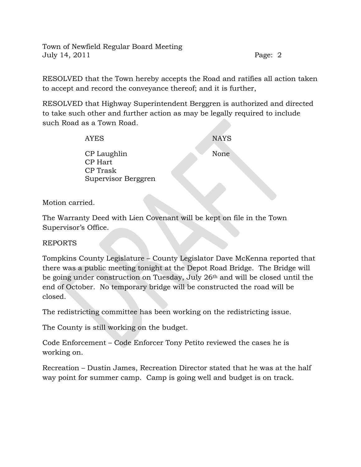Town of Newfield Regular Board Meeting July 14, 2011 Page: 2

RESOLVED that the Town hereby accepts the Road and ratifies all action taken to accept and record the conveyance thereof; and it is further,

RESOLVED that Highway Superintendent Berggren is authorized and directed to take such other and further action as may be legally required to include such Road as a Town Road.

| <b>AYES</b>         | <b>NAYS</b> |
|---------------------|-------------|
| CP Laughlin         | None        |
| CP Hart             |             |
| CP Trask            |             |
| Supervisor Berggren |             |

Motion carried.

The Warranty Deed with Lien Covenant will be kept on file in the Town Supervisor's Office.

REPORTS

Tompkins County Legislature – County Legislator Dave McKenna reported that there was a public meeting tonight at the Depot Road Bridge. The Bridge will be going under construction on Tuesday, July 26th and will be closed until the end of October. No temporary bridge will be constructed the road will be closed.

The redistricting committee has been working on the redistricting issue.

The County is still working on the budget.

Code Enforcement – Code Enforcer Tony Petito reviewed the cases he is working on.

Recreation – Dustin James, Recreation Director stated that he was at the half way point for summer camp. Camp is going well and budget is on track.